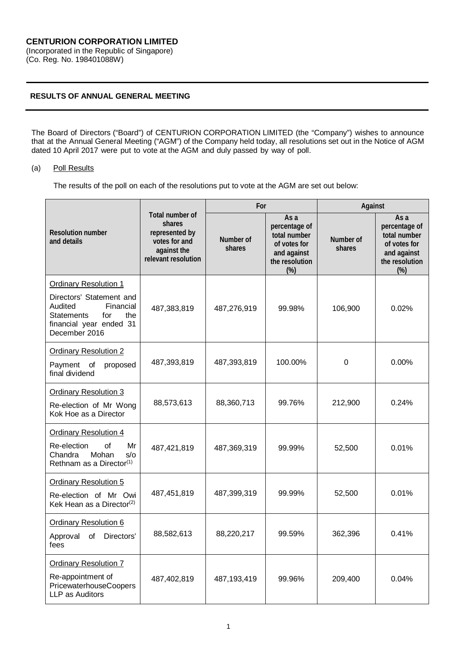## **RESULTS OF ANNUAL GENERAL MEETING**

The Board of Directors ("Board") of CENTURION CORPORATION LIMITED (the "Company") wishes to announce that at the Annual General Meeting ("AGM") of the Company held today, all resolutions set out in the Notice of AGM dated 10 April 2017 were put to vote at the AGM and duly passed by way of poll.

## (a) Poll Results

The results of the poll on each of the resolutions put to vote at the AGM are set out below:

|                                                                                                                                                                 |                                                                                                    | For                 |                                                                                                  | Against             |                                                                                               |
|-----------------------------------------------------------------------------------------------------------------------------------------------------------------|----------------------------------------------------------------------------------------------------|---------------------|--------------------------------------------------------------------------------------------------|---------------------|-----------------------------------------------------------------------------------------------|
| <b>Resolution number</b><br>and details                                                                                                                         | Total number of<br>shares<br>represented by<br>votes for and<br>against the<br>relevant resolution | Number of<br>shares | As a<br>percentage of<br>total number<br>of votes for<br>and against<br>the resolution<br>$(\%)$ | Number of<br>shares | As a<br>percentage of<br>total number<br>of votes for<br>and against<br>the resolution<br>(%) |
| <b>Ordinary Resolution 1</b><br>Directors' Statement and<br>Audited<br>Financial<br><b>Statements</b><br>for<br>the<br>financial year ended 31<br>December 2016 | 487,383,819                                                                                        | 487,276,919         | 99.98%                                                                                           | 106,900             | 0.02%                                                                                         |
| <b>Ordinary Resolution 2</b><br>Payment of<br>proposed<br>final dividend                                                                                        | 487,393,819                                                                                        | 487,393,819         | 100.00%                                                                                          | $\Omega$            | 0.00%                                                                                         |
| <b>Ordinary Resolution 3</b><br>Re-election of Mr Wong<br>Kok Hoe as a Director                                                                                 | 88,573,613                                                                                         | 88,360,713          | 99.76%                                                                                           | 212,900             | 0.24%                                                                                         |
| <b>Ordinary Resolution 4</b><br>Re-election<br>of<br>Mr<br>Mohan<br>$s$ /o<br>Chandra<br>Rethnam as a Director <sup>(1)</sup>                                   | 487,421,819                                                                                        | 487,369,319         | 99.99%                                                                                           | 52,500              | 0.01%                                                                                         |
| <b>Ordinary Resolution 5</b><br>Re-election of Mr Owi<br>Kek Hean as a Director <sup>(2)</sup>                                                                  | 487,451,819                                                                                        | 487,399,319         | 99.99%                                                                                           | 52,500              | 0.01%                                                                                         |
| <b>Ordinary Resolution 6</b><br>of<br>Directors'<br>Approval<br>fees                                                                                            | 88,582,613                                                                                         | 88,220,217          | 99.59%                                                                                           | 362,396             | 0.41%                                                                                         |
| <b>Ordinary Resolution 7</b><br>Re-appointment of<br>PricewaterhouseCoopers<br>LLP as Auditors                                                                  | 487,402,819                                                                                        | 487,193,419         | 99.96%                                                                                           | 209,400             | 0.04%                                                                                         |